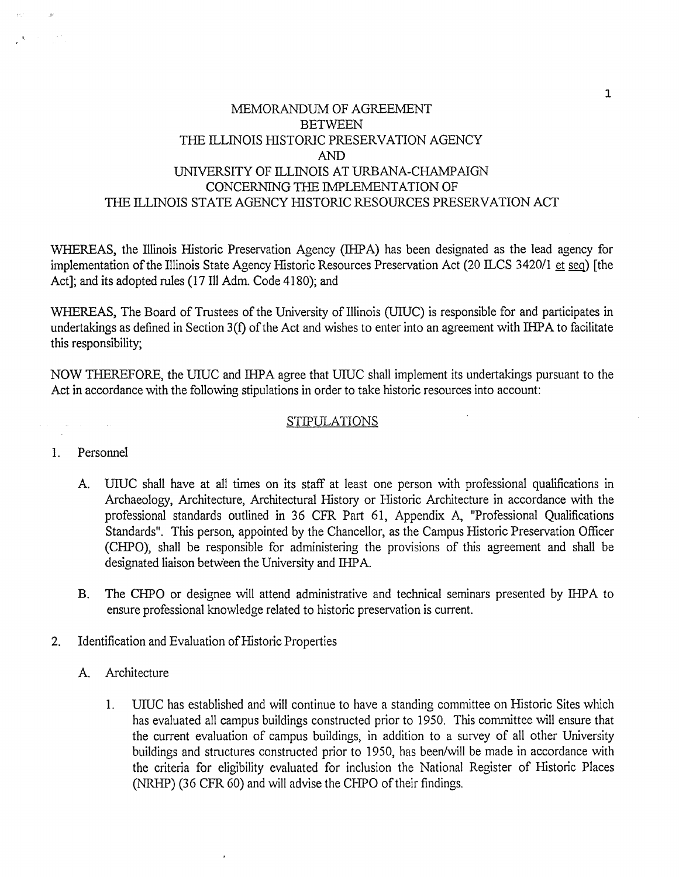## MEMORANDUM OF AGREEMENT **BETWEEN** THE ILLINOIS HISTORIC PRESERVATION AGENCY AND UNIVERSITY OF ILLINOIS AT URBANA-CHAMPAIGN CONCERNING THE IMPLEMENTATION OF THE ILLINOIS STATE AGENCY HISTORIC RESOURCES PRESERVATION ACT

WHEREAS, the Illinois Historic Preservation Agency (IHPA) has been designated as the lead agency for implementation of the Illinois State Agency Historic Resources Preservation Act (20 ILCS 3420/1 et seq) [the Act]; and its adopted rules (17 Ill Adm. Code 4180); and

WHEREAS, The Board of Trustees of the University of Illinois (UIUC) is responsible for and participates in undertakings as defined in Section 3(f) of the Act and wishes to enter into an agreement with IHPA to facilitate this responsibility;

NOW THEREFORE, the UIUC and IHPA agree that UIUC shall implement its undertakings pursuant to the Act in accordance with the following stipulations in order to take historic resources into account:

## STIPULATIONS

## 1. Personnel

- A. UIUC shall have at all times on its staff at least one person with professional qualifications in Archaeology, Architecture, Architectural History or Historic Architecture in accordance with the professional standards outlined in 36 CFR Part 61, Appendix A, "Professional Qualifications Standards". This person, appointed by the Chancellor, as the Campus Historic Preservation Officer (CHPO), shall be responsible for administering the provisions of this agreement and shall be designated liaison between the University and IHPA.
- B. The CHPO or designee will attend administrative and technical seminars presented by IHPA to ensure professional knowledge related to historic preservation is current.
- 2. Identification and Evaluation of Historic Properties
	- A. Architecture
		- 1. UIUC has established and will continue to have a standing committee on Historic Sites which has evaluated all campus buildings constructed prior to 1950. This committee will ensure that the current evaluation of campus buildings, in addition to a survey of all other University buildings and structures constructed prior to 1950, has been/will be made in accordance with the criteria for eligibility evaluated for inclusion the National Register of Historic Places (NRHP) (36 CFR 60) and will advise the CHPO of their findings.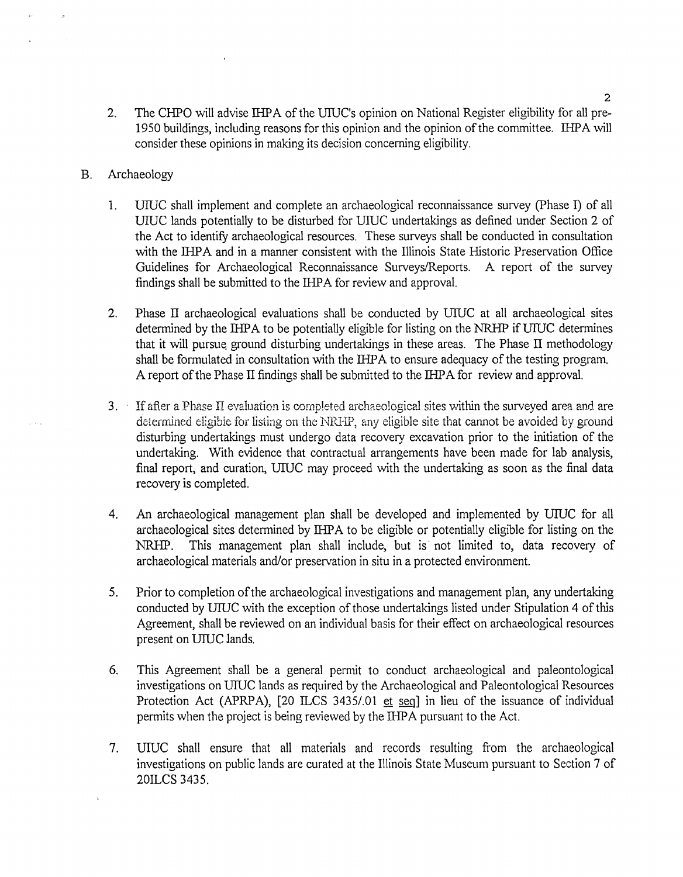- 2. The CHPO will advise IHPA of the UIUC's opinion on National Register eligibility for all pre-1950 buildings, including reasons for this opinion and the opinion of the committee. IHPA will consider these opinions in making its decision concerning eligibility.
- B. Archaeology
	- 1. UIUC shall implement and complete an archaeological reconnaissance survey (Phase I) of all UIUC lands potentially to be disturbed for UIUC undertakings as defined under Section 2 of the Act to identify archaeological resources. These surveys shall be conducted in consultation with the IHPA and in a manner consistent with the Illinois State Historic Preservation Office Guidelines for Archaeological Reconnaissance Surveys/Reports. A report of the survey findings shall be submitted to the IHPA for review and approval.
	- 2. Phase II archaeological evaluations shall be conducted by UIUC at all archaeological sites determined by the IHPA to be potentially eligible for listing on the NRHP if UIUC determines that it will pursue ground disturbing undertakings in these areas. The Phase II methodology shall be formulated in consultation with the IHPA to ensure adequacy of the testing program. A report of the Phase II findings shall be submitted to the 1HP A for review and approval.
	- $3.$  If after a Phase II evaluation is completed archaeological sites within the surveyed area and are determined eligible for listing on the NRHP, any eligible site that cannot be avoided by ground disturbing undertakings must undergo data recovery excavation prior to the initiation of the undertaking. With evidence that contractual arrangements have been made for lab analysis, final report, and curation, UIUC may proceed with the undertaking as soon as the final data recovery is completed.
	- 4. An archaeological management plan shall be developed and implemented by UIUC for all archaeological sites determined by IHPA to be eligible or potentially eligible for listing on the NRHP. This management plan shall include, but is· not limited to, data recovery of archaeological materials and/or preservation in situ in a protected environment.
	- 5. Prior to completion of the archaeological investigations and management plan, any undertaking conducted by UIUC with the exception of those undertakings listed under Stipulation 4 of this Agreement, shall be reviewed on an individual basis for their effect on archaeological resources present on UIUC lands.
	- 6. This Agreement shall be a general pemut to conduct archaeological and paleontological investigations on UIUC lands as required by the Archaeological and Paleontological Resources Protection Act (APRPA),  $[20$  ILCS 3435/.01 et seq] in lieu of the issuance of individual permits when the project is being reviewed by the IHPA pursuant to the Act.
	- 7. UIUC shall ensure that all materials and records resulting from the archaeological investigations on public lands are curated at the Illinois State Museum pursuant to Section 7 of 20ILCS 3435.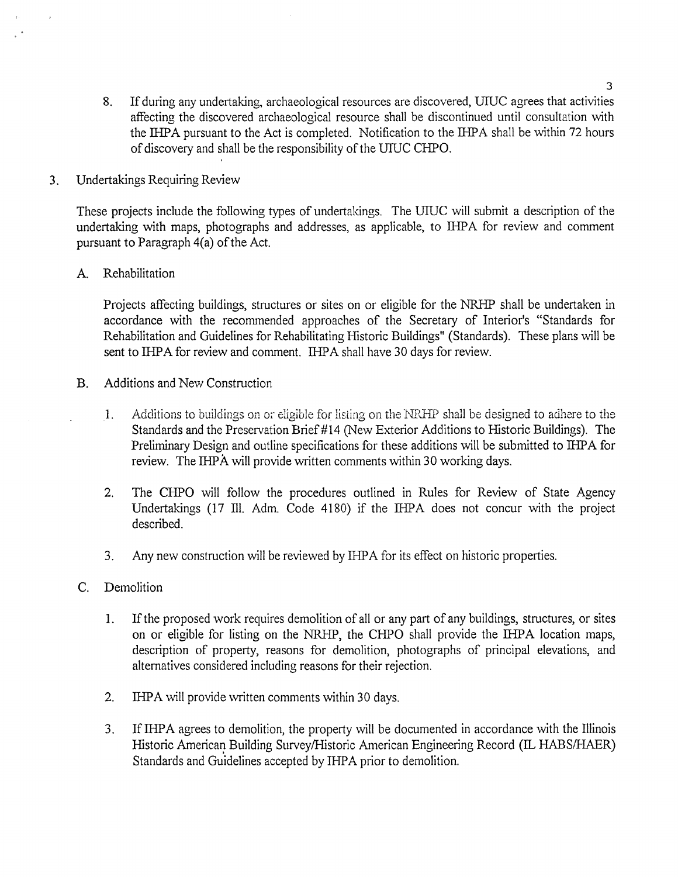- 8. If during any undertaking, archaeological resources are discovered, UIUC agrees that activities affecting the discovered archaeological resource shall be discontinued until consultation with the IHPA pursuant to the Act is completed. Notification to the IHPA shall be within 72 hours of discovery and shall be the responsibility of the UIUC CHPO.
- 3. Undertakings Requiring Review

These projects include the following types of undertakings. The UIUC will submit a description of the undertaking with maps, photographs and addresses, as applicable, to IHPA for review and comment pursuant to Paragraph 4(a) of the Act.

A. Rehabilitation

Projects affecting buildings, structures or sites on or eligible for the NRHP shall be undertaken in accordance with the recommended approaches of the Secretary of Interior's "Standards for Rehabilitation and Guidelines for Rehabilitating Historic Buildings" (Standards). These plans will be sent to IHPA for review and comment. IHPA shall have 30 days for review.

- B. Additions and New Construction
	- 1. Additions to buildings on or eligible for listing on the NRHP shall be designed to adhere to the Standards and the Preservation Brief#l4 (New Exterior Additions to Historic Buildings). The Preliminary Design and outline specifications for these additions will be submitted to IHPA for review. The IHPA will provide written comments within 30 working days.
	- 2. The CHPO will follow the procedures outlined in Rules for Review of State Agency Undertakings (17 Ill. Adm. Code 4180) if the IHPA does not concur with the project described.
	- 3. Any new construction will be reviewed by IHPA for its effect on historic properties.
- C. Demolition
	- 1. If the proposed work requires demolition of all or any part of any buildings, structures, or sites on or eligible for listing on the NRHP, the CHPO shall provide the IHPA location maps, description of property, reasons for demolition, photographs of principal elevations, and alternatives considered including reasons for their rejection.
	- 2. IHPA will provide written comments within 30 days.
	- 3. If IHPA agrees to demolition, the property will be documented in accordance with the Illinois Historic American Building Survey/Historic American Engineering Record (IL HABS/HAER) Standards and Guidelines accepted by IHPA prior to demolition.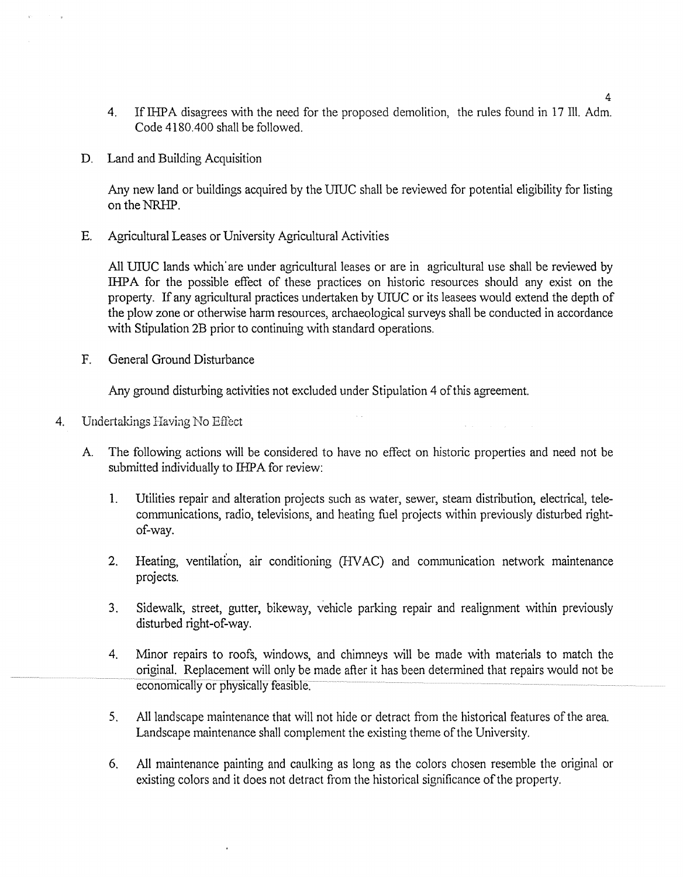- 4. If IHPA disagrees with the need for the proposed demolition, the rules found in 17 Ill. Adm. Code 4180 .400 shall be followed.
- D. Land and Building Acquisition

Any new land or buildings acquired by the UIUC shall be reviewed for potential eligibility for listing on the NRHP.

E. Agricultural Leases or University Agricultural Activities

All UIUC lands which' are under agricultural leases or are in agricultural use shall be reviewed by IHPA for the possible effect of these practices on historic resources should any exist on the property. If any agricultural practices undertaken by UIUC or its leasees would extend the depth of the plow zone or otherwise harm resources, archaeological surveys shall be conducted in accordance with Stipulation 2B prior to continuing with standard operations.

F. General Ground Disturbance

Any ground disturbing activities not excluded under Stipulation 4 of this agreement.

- 4. Undertakings Having No Effect
	- A The following actions will be considered to have no effect on historic properties and need not be submitted individually to IHPA for review:
		- 1. Utilities repair and alteration projects such as water, sewer, steam distribution, electrical, telecommunications, radio, televisions, and heating fuel projects within previously disturbed rightof-way.
		- 2. Heating, ventilation, air conditioning (HVAC) and communication network maintenance projects.
		- 3. Sidewalk, street, gutter, bikeway, vehicle parking repair and realignment within previously disturbed right-of-way.
		- 4. Minor repairs to roofs, windows, and chimneys will be made with materials to match the original. Replacement will only be made after it has been determined that repairs would not be economically or physically feasible.
		- 5. All landscape maintenance that will not hide or detract from the historical features of the area. Landscape maintenance shall complement the existing theme of the University.
		- 6. All maintenance painting and caulking as long as the colors chosen resemble the original or existing colors and it does not detract from the historical significance of the property.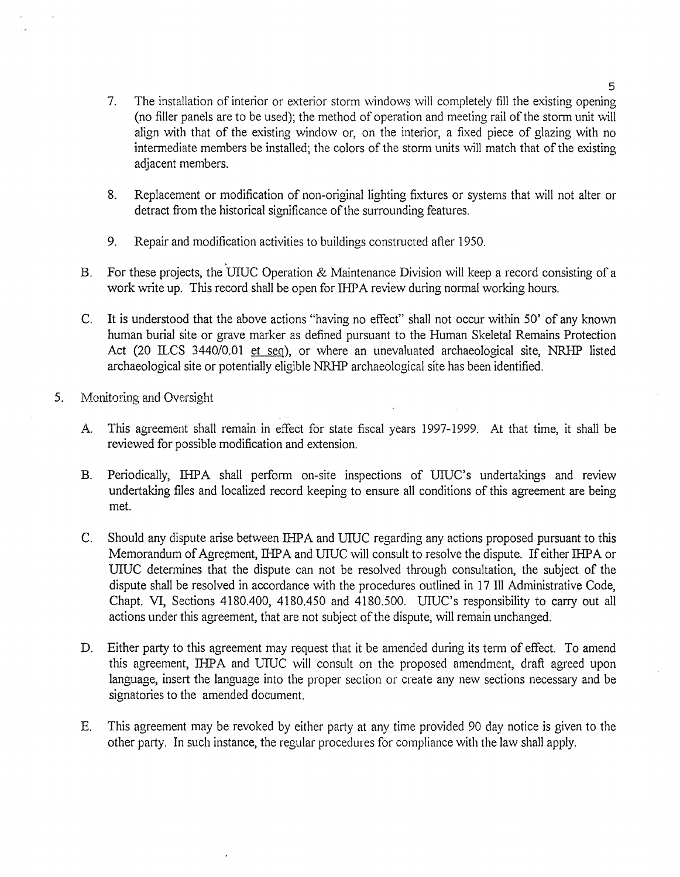- 7. The installation of interior or exterior storm windows will completely fill the existing opening (no filler panels are to be used); the method of operation and meeting rail of the storm unit will align with that of the existing window or, on the interior, a fixed piece of glazing with no intermediate members be installed; the colors of the storm units will match that of the existing adjacent members.
- 8. Replacement or modification of non-original lighting fixtures or systems that will not alter or detract from the historical significance of the surrounding features.
- 9. Repair and modification activities to buildings constructed after 1950.
- B. For these projects, the UIUC Operation & Maintenance Division will keep a record consisting of a work write up. This record shall be open for IHPA review during normal working hours.
- C. It is understood that the above actions "having no effect" shall not occur within 50' of any known human burial site or grave marker as defined pursuant to the Human Skeletal Remains Protection Act (20 ILCS 3440/0.01 et seq), or where an unevaluated archaeological site, NRHP listed archaeological site or potentially eligible NRHP archaeological site has been identified.
- 5. Monitoring and Oversight
	- A. This agreement shall remain in effect for state fiscal years 1997-1999. At that time, it shall be reviewed for possible modification and extension.
	- B. Periodically, IHPA shall perform on-site inspections of UIUC's undertakings and review undertaking files and localized record keeping to ensure all conditions of this agreement are being met.
	- C. Should any dispute arise between IHP A and UIUC regarding any actions proposed pursuant to this Memorandum of Agreement, IHPA and UIUC will consult to resolve the dispute. If either IHPA or UIUC determines that the dispute can not be resolved through consultation, the subject of the dispute shall be resolved in accordance with the procedures outlined in 17 Ill Administrative Code, Chapt. VI, Sections 4180.400, 4180.450 and 4180.500. UIUC's responsibility to carry out all actions under this agreement, that are not subject of the dispute, will remain unchanged.
	- D. Either party to this agreement may request that it be amended during its term of effect. To amend this agreement, IHPA and UIUC will consult on the proposed amendment, draft agreed upon language, insert the language into the proper section or create any new sections necessary and be signatories to the amended document.
	- E. This agreement may be revoked by either party at any time provided 90 day notice is given to the other party. In such instance, the regular procedures for compliance with the law shall apply.